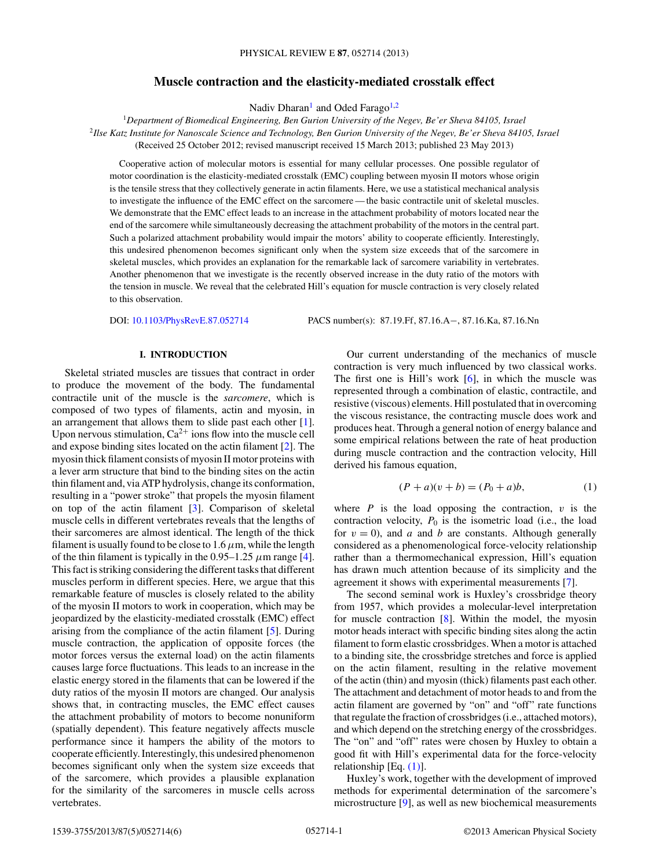# **Muscle contraction and the elasticity-mediated crosstalk effect**

Nadiv Dharan<sup>1</sup> and Oded Farago<sup>1,2</sup>

<span id="page-0-0"></span><sup>1</sup>*Department of Biomedical Engineering, Ben Gurion University of the Negev, Be'er Sheva 84105, Israel* <sup>2</sup>*Ilse Katz Institute for Nanoscale Science and Technology, Ben Gurion University of the Negev, Be'er Sheva 84105, Israel* (Received 25 October 2012; revised manuscript received 15 March 2013; published 23 May 2013)

Cooperative action of molecular motors is essential for many cellular processes. One possible regulator of motor coordination is the elasticity-mediated crosstalk (EMC) coupling between myosin II motors whose origin is the tensile stress that they collectively generate in actin filaments. Here, we use a statistical mechanical analysis to investigate the influence of the EMC effect on the sarcomere — the basic contractile unit of skeletal muscles. We demonstrate that the EMC effect leads to an increase in the attachment probability of motors located near the end of the sarcomere while simultaneously decreasing the attachment probability of the motors in the central part. Such a polarized attachment probability would impair the motors' ability to cooperate efficiently. Interestingly, this undesired phenomenon becomes significant only when the system size exceeds that of the sarcomere in skeletal muscles, which provides an explanation for the remarkable lack of sarcomere variability in vertebrates. Another phenomenon that we investigate is the recently observed increase in the duty ratio of the motors with the tension in muscle. We reveal that the celebrated Hill's equation for muscle contraction is very closely related to this observation.

DOI: [10.1103/PhysRevE.87.052714](http://dx.doi.org/10.1103/PhysRevE.87.052714) PACS number(s): 87*.*19*.*Ff, 87*.*16*.*A−, 87*.*16*.*Ka, 87*.*16*.*Nn

## **I. INTRODUCTION**

Skeletal striated muscles are tissues that contract in order to produce the movement of the body. The fundamental contractile unit of the muscle is the *sarcomere*, which is composed of two types of filaments, actin and myosin, in an arrangement that allows them to slide past each other [\[1\]](#page-4-0). Upon nervous stimulation,  $Ca^{2+}$  ions flow into the muscle cell and expose binding sites located on the actin filament [\[2\]](#page-4-0). The myosin thick filament consists of myosin II motor proteins with a lever arm structure that bind to the binding sites on the actin thin filament and, via ATP hydrolysis, change its conformation, resulting in a "power stroke" that propels the myosin filament on top of the actin filament [\[3\]](#page-4-0). Comparison of skeletal muscle cells in different vertebrates reveals that the lengths of their sarcomeres are almost identical. The length of the thick filament is usually found to be close to  $1.6 \mu$ m, while the length of the thin filament is typically in the  $0.95-1.25 \ \mu m$  range [\[4\]](#page-4-0). This fact is striking considering the different tasks that different muscles perform in different species. Here, we argue that this remarkable feature of muscles is closely related to the ability of the myosin II motors to work in cooperation, which may be jeopardized by the elasticity-mediated crosstalk (EMC) effect arising from the compliance of the actin filament [\[5\]](#page-4-0). During muscle contraction, the application of opposite forces (the motor forces versus the external load) on the actin filaments causes large force fluctuations. This leads to an increase in the elastic energy stored in the filaments that can be lowered if the duty ratios of the myosin II motors are changed. Our analysis shows that, in contracting muscles, the EMC effect causes the attachment probability of motors to become nonuniform (spatially dependent). This feature negatively affects muscle performance since it hampers the ability of the motors to cooperate efficiently. Interestingly, this undesired phenomenon becomes significant only when the system size exceeds that of the sarcomere, which provides a plausible explanation for the similarity of the sarcomeres in muscle cells across vertebrates.

Our current understanding of the mechanics of muscle contraction is very much influenced by two classical works. The first one is Hill's work  $[6]$ , in which the muscle was represented through a combination of elastic, contractile, and resistive (viscous) elements. Hill postulated that in overcoming the viscous resistance, the contracting muscle does work and produces heat. Through a general notion of energy balance and some empirical relations between the rate of heat production during muscle contraction and the contraction velocity, Hill derived his famous equation,

$$
(P + a)(v + b) = (P_0 + a)b,
$$
 (1)

where  $P$  is the load opposing the contraction,  $v$  is the contraction velocity,  $P_0$  is the isometric load (i.e., the load for  $v = 0$ ), and *a* and *b* are constants. Although generally considered as a phenomenological force-velocity relationship rather than a thermomechanical expression, Hill's equation has drawn much attention because of its simplicity and the agreement it shows with experimental measurements [\[7\]](#page-4-0).

The second seminal work is Huxley's crossbridge theory from 1957, which provides a molecular-level interpretation for muscle contraction  $[8]$ . Within the model, the myosin motor heads interact with specific binding sites along the actin filament to form elastic crossbridges. When a motor is attached to a binding site, the crossbridge stretches and force is applied on the actin filament, resulting in the relative movement of the actin (thin) and myosin (thick) filaments past each other. The attachment and detachment of motor heads to and from the actin filament are governed by "on" and "off" rate functions that regulate the fraction of crossbridges (i.e., attached motors), and which depend on the stretching energy of the crossbridges. The "on" and "off" rates were chosen by Huxley to obtain a good fit with Hill's experimental data for the force-velocity relationship  $[Eq. (1)].$ 

Huxley's work, together with the development of improved methods for experimental determination of the sarcomere's microstructure [\[9\]](#page-4-0), as well as new biochemical measurements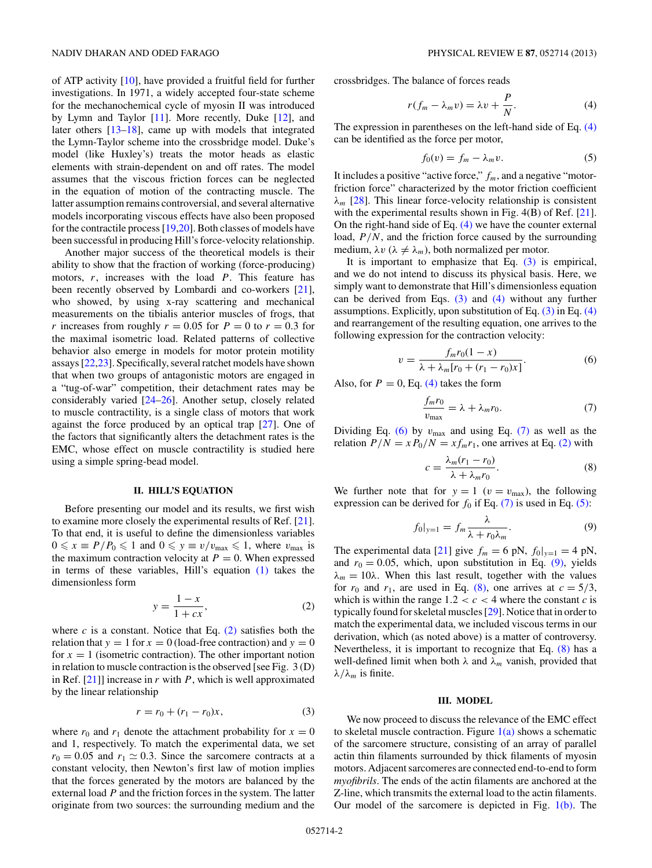<span id="page-1-0"></span>of ATP activity [\[10\]](#page-4-0), have provided a fruitful field for further investigations. In 1971, a widely accepted four-state scheme for the mechanochemical cycle of myosin II was introduced by Lymn and Taylor [\[11\]](#page-4-0). More recently, Duke [\[12\]](#page-4-0), and later others [\[13–18\]](#page-4-0), came up with models that integrated the Lymn-Taylor scheme into the crossbridge model. Duke's model (like Huxley's) treats the motor heads as elastic elements with strain-dependent on and off rates. The model assumes that the viscous friction forces can be neglected in the equation of motion of the contracting muscle. The latter assumption remains controversial, and several alternative models incorporating viscous effects have also been proposed for the contractile process [\[19,20\]](#page-4-0). Both classes of models have been successful in producing Hill's force-velocity relationship.

Another major success of the theoretical models is their ability to show that the fraction of working (force-producing) motors, *r*, increases with the load *P*. This feature has been recently observed by Lombardi and co-workers [\[21\]](#page-4-0), who showed, by using x-ray scattering and mechanical measurements on the tibialis anterior muscles of frogs, that *r* increases from roughly  $r = 0.05$  for  $P = 0$  to  $r = 0.3$  for the maximal isometric load. Related patterns of collective behavior also emerge in models for motor protein motility assays [\[22,23\]](#page-4-0). Specifically, several ratchet models have shown that when two groups of antagonistic motors are engaged in a "tug-of-war" competition, their detachment rates may be considerably varied [\[24–26\]](#page-4-0). Another setup, closely related to muscle contractility, is a single class of motors that work against the force produced by an optical trap [\[27\]](#page-4-0). One of the factors that significantly alters the detachment rates is the EMC, whose effect on muscle contractility is studied here using a simple spring-bead model.

### **II. HILL'S EQUATION**

Before presenting our model and its results, we first wish to examine more closely the experimental results of Ref. [\[21\]](#page-4-0). To that end, it is useful to define the dimensionless variables  $0 \le x \equiv P/P_0 \le 1$  and  $0 \le y \equiv v/v_{\text{max}} \le 1$ , where  $v_{\text{max}}$  is the maximum contraction velocity at  $P = 0$ . When expressed in terms of these variables, Hill's equation [\(1\)](#page-0-0) takes the dimensionless form

$$
y = \frac{1 - x}{1 + cx},\tag{2}
$$

where  $c$  is a constant. Notice that Eq.  $(2)$  satisfies both the relation that  $y = 1$  for  $x = 0$  (load-free contraction) and  $y = 0$ for  $x = 1$  (isometric contraction). The other important notion in relation to muscle contraction is the observed [see Fig. 3 (D) in Ref. [\[21\]](#page-4-0)] increase in *r* with *P*, which is well approximated by the linear relationship

$$
r = r_0 + (r_1 - r_0)x,\t\t(3)
$$

where  $r_0$  and  $r_1$  denote the attachment probability for  $x = 0$ and 1, respectively. To match the experimental data, we set  $r_0 = 0.05$  and  $r_1 \approx 0.3$ . Since the sarcomere contracts at a constant velocity, then Newton's first law of motion implies that the forces generated by the motors are balanced by the external load *P* and the friction forces in the system. The latter originate from two sources: the surrounding medium and the

crossbridges. The balance of forces reads

$$
r(f_m - \lambda_m v) = \lambda v + \frac{P}{N}.
$$
 (4)

The expression in parentheses on the left-hand side of Eq. (4) can be identified as the force per motor,

$$
f_0(v) = f_m - \lambda_m v. \tag{5}
$$

It includes a positive "active force," *fm*, and a negative "motorfriction force" characterized by the motor friction coefficient *λm* [\[28\]](#page-4-0). This linear force-velocity relationship is consistent with the experimental results shown in Fig. 4(B) of Ref. [\[21\]](#page-4-0). On the right-hand side of Eq.  $(4)$  we have the counter external load,  $P/N$ , and the friction force caused by the surrounding medium,  $\lambda v$  ( $\lambda \neq \lambda_m$ ), both normalized per motor.

It is important to emphasize that Eq.  $(3)$  is empirical, and we do not intend to discuss its physical basis. Here, we simply want to demonstrate that Hill's dimensionless equation can be derived from Eqs. (3) and (4) without any further assumptions. Explicitly, upon substitution of Eq.  $(3)$  in Eq.  $(4)$ and rearrangement of the resulting equation, one arrives to the following expression for the contraction velocity:

$$
v = \frac{f_m r_0 (1 - x)}{\lambda + \lambda_m [r_0 + (r_1 - r_0)x]}.
$$
 (6)

Also, for  $P = 0$ , Eq. (4) takes the form

$$
\frac{f_m r_0}{v_{\text{max}}} = \lambda + \lambda_m r_0. \tag{7}
$$

Dividing Eq. (6) by  $v_{\text{max}}$  and using Eq. (7) as well as the relation  $P/N = xP_0/N = xf_mr_1$ , one arrives at Eq. (2) with

$$
c = \frac{\lambda_m(r_1 - r_0)}{\lambda + \lambda_m r_0}.
$$
 (8)

We further note that for  $y = 1$  ( $v = v_{\text{max}}$ ), the following expression can be derived for  $f_0$  if Eq. (7) is used in Eq. (5):

$$
f_0|_{y=1} = f_m \frac{\lambda}{\lambda + r_0 \lambda_m}.
$$
 (9)

The experimental data [\[21\]](#page-4-0) give  $f_m = 6$  pN,  $f_0|_{y=1} = 4$  pN, and  $r_0 = 0.05$ , which, upon substitution in Eq.  $(9)$ , yields  $\lambda_m = 10\lambda$ . When this last result, together with the values for  $r_0$  and  $r_1$ , are used in Eq. (8), one arrives at  $c = 5/3$ , which is within the range  $1.2 < c < 4$  where the constant *c* is typically found for skeletal muscles [\[29\]](#page-5-0). Notice that in order to match the experimental data, we included viscous terms in our derivation, which (as noted above) is a matter of controversy. Nevertheless, it is important to recognize that Eq. (8) has a well-defined limit when both  $\lambda$  and  $\lambda_m$  vanish, provided that  $λ/λ<sub>m</sub>$  is finite.

#### **III. MODEL**

We now proceed to discuss the relevance of the EMC effect to skeletal muscle contraction. Figure  $1(a)$  shows a schematic of the sarcomere structure, consisting of an array of parallel actin thin filaments surrounded by thick filaments of myosin motors. Adjacent sarcomeres are connected end-to-end to form *myofibrils*. The ends of the actin filaments are anchored at the Z-line, which transmits the external load to the actin filaments. Our model of the sarcomere is depicted in Fig.  $1(b)$ . The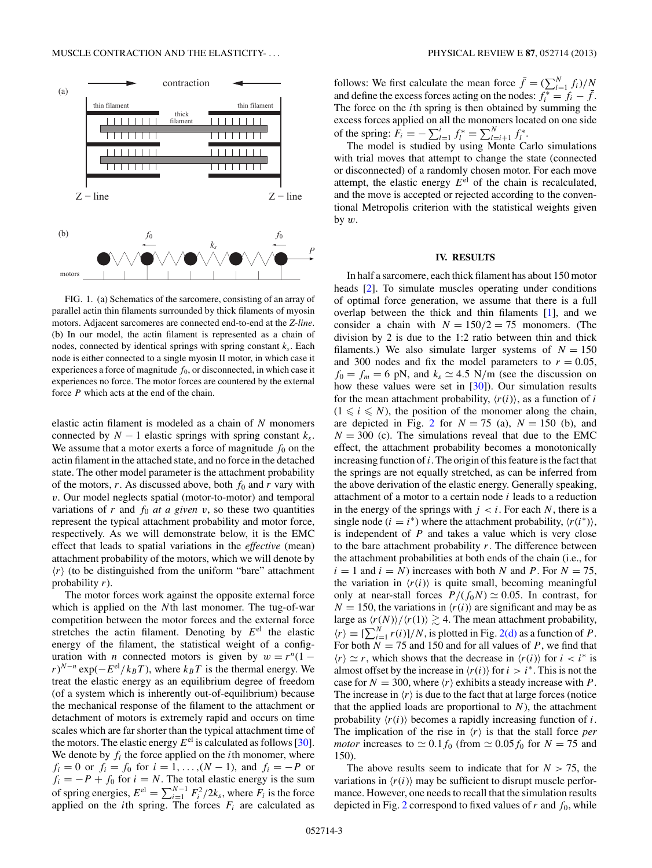<span id="page-2-0"></span>

FIG. 1. (a) Schematics of the sarcomere, consisting of an array of parallel actin thin filaments surrounded by thick filaments of myosin motors. Adjacent sarcomeres are connected end-to-end at the *Z-line*. (b) In our model, the actin filament is represented as a chain of nodes, connected by identical springs with spring constant  $k_s$ . Each node is either connected to a single myosin II motor, in which case it experiences a force of magnitude  $f_0$ , or disconnected, in which case it experiences no force. The motor forces are countered by the external force *P* which acts at the end of the chain.

elastic actin filament is modeled as a chain of *N* monomers connected by  $N - 1$  elastic springs with spring constant  $k_s$ . We assume that a motor exerts a force of magnitude  $f_0$  on the actin filament in the attached state, and no force in the detached state. The other model parameter is the attachment probability of the motors,  $r$ . As discussed above, both  $f_0$  and  $r$  vary with *v*. Our model neglects spatial (motor-to-motor) and temporal variations of  $r$  and  $f_0$  *at a given*  $v$ , so these two quantities represent the typical attachment probability and motor force, respectively. As we will demonstrate below, it is the EMC effect that leads to spatial variations in the *effective* (mean) attachment probability of the motors, which we will denote by  $\langle r \rangle$  (to be distinguished from the uniform "bare" attachment probability *r*).

The motor forces work against the opposite external force which is applied on the *N*th last monomer. The tug-of-war competition between the motor forces and the external force stretches the actin filament. Denoting by  $E<sup>el</sup>$  the elastic energy of the filament, the statistical weight of a configuration with *n* connected motors is given by  $w = r^n(1 (r)^{N-n}$  exp( $-E^{el}/k_BT$ ), where  $k_BT$  is the thermal energy. We treat the elastic energy as an equilibrium degree of freedom (of a system which is inherently out-of-equilibrium) because the mechanical response of the filament to the attachment or detachment of motors is extremely rapid and occurs on time scales which are far shorter than the typical attachment time of the motors. The elastic energy  $E^{el}$  is calculated as follows [\[30\]](#page-5-0). We denote by  $f_i$  the force applied on the *i*th monomer, where  $f_i = 0$  or  $f_i = f_0$  for  $i = 1, ..., (N - 1)$ , and  $f_i = -P$  or  $f_i = -P + f_0$  for  $i = N$ . The total elastic energy is the sum of spring energies,  $E^{\text{el}} = \sum_{i=1}^{N-1} F_i^2 / 2k_s$ , where  $F_i$  is the force applied on the *i*th spring. The forces  $F_i$  are calculated as

follows: We first calculate the mean force  $\bar{f} = (\sum_{i=1}^{N} f_i)/N$ and define the excess forces acting on the nodes:  $f_i^* = f_i - \bar{f}$ . The force on the *i*th spring is then obtained by summing the excess forces applied on all the monomers located on one side of the spring:  $F_i = -\sum_{i=1}^{i} f_i^* = \sum_{i=i+1}^{N} f_i^*$ .

The model is studied by using Monte Carlo simulations with trial moves that attempt to change the state (connected or disconnected) of a randomly chosen motor. For each move attempt, the elastic energy  $E<sup>el</sup>$  of the chain is recalculated, and the move is accepted or rejected according to the conventional Metropolis criterion with the statistical weights given by *w*.

#### **IV. RESULTS**

In half a sarcomere, each thick filament has about 150 motor heads [\[2\]](#page-4-0). To simulate muscles operating under conditions of optimal force generation, we assume that there is a full overlap between the thick and thin filaments [\[1\]](#page-4-0), and we consider a chain with  $N = 150/2 = 75$  monomers. (The division by 2 is due to the 1:2 ratio between thin and thick filaments.) We also simulate larger systems of  $N = 150$ and 300 nodes and fix the model parameters to  $r = 0.05$ ,  $f_0 = f_m = 6$  pN, and  $k_s \approx 4.5$  N/m (see the discussion on how these values were set in [\[30\]](#page-5-0)). Our simulation results for the mean attachment probability,  $\langle r(i) \rangle$ , as a function of *i*  $(1 \le i \le N)$ , the position of the monomer along the chain, are depicted in Fig. [2](#page-3-0) for  $N = 75$  (a),  $N = 150$  (b), and  $N = 300$  (c). The simulations reveal that due to the EMC effect, the attachment probability becomes a monotonically increasing function of*i*. The origin of this feature is the fact that the springs are not equally stretched, as can be inferred from the above derivation of the elastic energy. Generally speaking, attachment of a motor to a certain node *i* leads to a reduction in the energy of the springs with  $j < i$ . For each N, there is a single node ( $i = i^*$ ) where the attachment probability,  $\langle r(i^*) \rangle$ , is independent of *P* and takes a value which is very close to the bare attachment probability *r*. The difference between the attachment probabilities at both ends of the chain (i.e., for  $i = 1$  and  $i = N$ ) increases with both *N* and *P*. For  $N = 75$ , the variation in  $\langle r(i) \rangle$  is quite small, becoming meaningful only at near-stall forces  $P/(f_0N) \simeq 0.05$ . In contrast, for  $N = 150$ , the variations in  $\langle r(i) \rangle$  are significant and may be as large as  $\langle r(N) \rangle / \langle r(1) \rangle \gtrsim 4$ . The mean attachment probability,  $\langle r \rangle \equiv \left[ \sum_{i=1}^{N} r(i) \right] / N$ , is plotted in Fig. [2\(d\)](#page-3-0) as a function of *P*. For both  $N = 75$  and 150 and for all values of *P*, we find that  $\langle r \rangle \simeq r$ , which shows that the decrease in  $\langle r(i) \rangle$  for  $i < i^*$  is almost offset by the increase in  $\langle r(i) \rangle$  for  $i > i^*$ . This is not the case for  $N = 300$ , where  $\langle r \rangle$  exhibits a steady increase with P. The increase in  $\langle r \rangle$  is due to the fact that at large forces (notice that the applied loads are proportional to  $N$ ), the attachment probability  $\langle r(i) \rangle$  becomes a rapidly increasing function of *i*. The implication of the rise in  $\langle r \rangle$  is that the stall force *per motor* increases to  $\approx 0.1 f_0$  (from  $\approx 0.05 f_0$  for  $N = 75$  and 150).

The above results seem to indicate that for  $N > 75$ , the variations in  $\langle r(i) \rangle$  may be sufficient to disrupt muscle performance. However, one needs to recall that the simulation results depicted in Fig. [2](#page-3-0) correspond to fixed values of  $r$  and  $f_0$ , while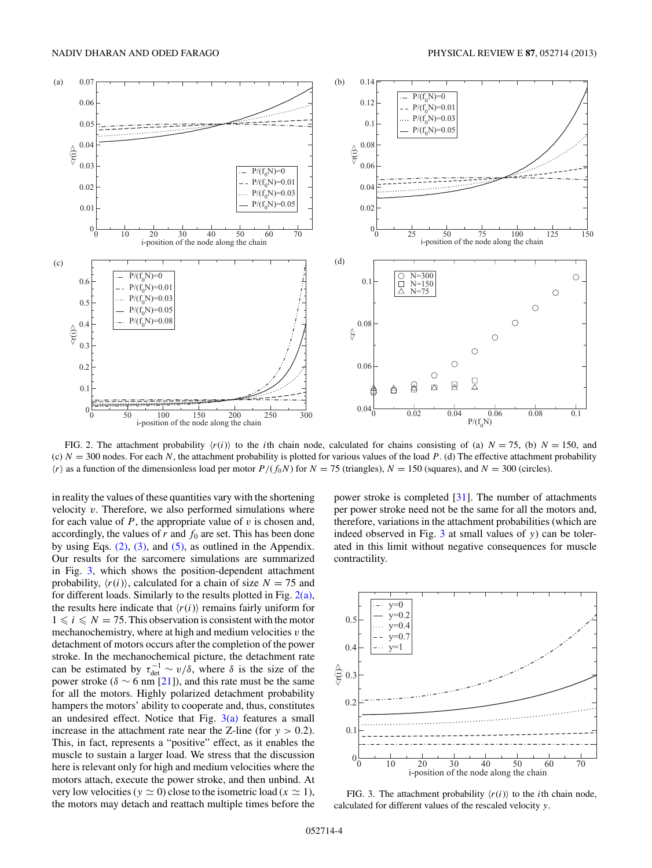<span id="page-3-0"></span>

FIG. 2. The attachment probability  $\langle r(i) \rangle$  to the *i*th chain node, calculated for chains consisting of (a)  $N = 75$ , (b)  $N = 150$ , and  $(c)$   $N = 300$  nodes. For each *N*, the attachment probability is plotted for various values of the load *P*. (d) The effective attachment probability  $\langle r \rangle$  as a function of the dimensionless load per motor *P*/(*f*<sub>0</sub>*N*) for *N* = 75 (triangles), *N* = 150 (squares), and *N* = 300 (circles).

in reality the values of these quantities vary with the shortening velocity *v*. Therefore, we also performed simulations where for each value of  $P$ , the appropriate value of  $v$  is chosen and, accordingly, the values of  $r$  and  $f_0$  are set. This has been done by using Eqs.  $(2)$ ,  $(3)$ , and  $(5)$ , as outlined in the Appendix. Our results for the sarcomere simulations are summarized in Fig. 3, which shows the position-dependent attachment probability,  $\langle r(i) \rangle$ , calculated for a chain of size  $N = 75$  and for different loads. Similarly to the results plotted in Fig.  $2(a)$ , the results here indicate that  $\langle r(i) \rangle$  remains fairly uniform for  $1 \le i \le N = 75$ . This observation is consistent with the motor mechanochemistry, where at high and medium velocities *v* the detachment of motors occurs after the completion of the power stroke. In the mechanochemical picture, the detachment rate can be estimated by  $\tau_{\text{det}}^{-1} \sim v/\delta$ , where  $\delta$  is the size of the power stroke ( $\delta \sim 6$  nm [\[21\]](#page-4-0)), and this rate must be the same for all the motors. Highly polarized detachment probability hampers the motors' ability to cooperate and, thus, constitutes an undesired effect. Notice that Fig.  $3(a)$  features a small increase in the attachment rate near the Z-line (for  $y > 0.2$ ). This, in fact, represents a "positive" effect, as it enables the muscle to sustain a larger load. We stress that the discussion here is relevant only for high and medium velocities where the motors attach, execute the power stroke, and then unbind. At very low velocities ( $y \approx 0$ ) close to the isometric load ( $x \approx 1$ ), the motors may detach and reattach multiple times before the

power stroke is completed [\[31\]](#page-5-0). The number of attachments per power stroke need not be the same for all the motors and, therefore, variations in the attachment probabilities (which are indeed observed in Fig. 3 at small values of *y*) can be tolerated in this limit without negative consequences for muscle contractility.



FIG. 3. The attachment probability  $\langle r(i) \rangle$  to the *i*th chain node, calculated for different values of the rescaled velocity *y*.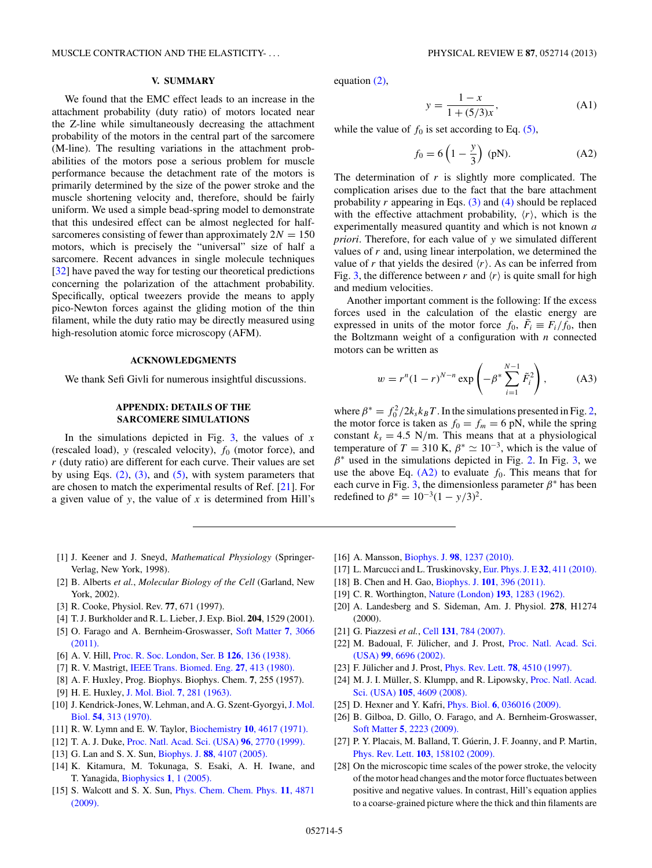# **V. SUMMARY**

<span id="page-4-0"></span>We found that the EMC effect leads to an increase in the attachment probability (duty ratio) of motors located near the Z-line while simultaneously decreasing the attachment probability of the motors in the central part of the sarcomere (M-line). The resulting variations in the attachment probabilities of the motors pose a serious problem for muscle performance because the detachment rate of the motors is primarily determined by the size of the power stroke and the muscle shortening velocity and, therefore, should be fairly uniform. We used a simple bead-spring model to demonstrate that this undesired effect can be almost neglected for halfsarcomeres consisting of fewer than approximately  $2N = 150$ motors, which is precisely the "universal" size of half a sarcomere. Recent advances in single molecule techniques [\[32\]](#page-5-0) have paved the way for testing our theoretical predictions concerning the polarization of the attachment probability. Specifically, optical tweezers provide the means to apply pico-Newton forces against the gliding motion of the thin filament, while the duty ratio may be directly measured using high-resolution atomic force microscopy (AFM).

### **ACKNOWLEDGMENTS**

We thank Sefi Givli for numerous insightful discussions.

## **APPENDIX: DETAILS OF THE SARCOMERE SIMULATIONS**

In the simulations depicted in Fig. [3,](#page-3-0) the values of *x* (rescaled load), *y* (rescaled velocity), *f*<sup>0</sup> (motor force), and *r* (duty ratio) are different for each curve. Their values are set by using Eqs.  $(2)$ ,  $(3)$ , and  $(5)$ , with system parameters that are chosen to match the experimental results of Ref. [21]. For a given value of *y*, the value of *x* is determined from Hill's

equation [\(2\),](#page-1-0)

$$
y = \frac{1 - x}{1 + (5/3)x},
$$
 (A1)

while the value of  $f_0$  is set according to Eq. [\(5\),](#page-1-0)

$$
f_0 = 6\left(1 - \frac{y}{3}\right) \text{ (pN)}.
$$
 (A2)

The determination of *r* is slightly more complicated. The complication arises due to the fact that the bare attachment probability  $r$  appearing in Eqs.  $(3)$  and  $(4)$  should be replaced with the effective attachment probability,  $\langle r \rangle$ , which is the experimentally measured quantity and which is not known *a priori*. Therefore, for each value of *y* we simulated different values of *r* and, using linear interpolation, we determined the value of *r* that yields the desired  $\langle r \rangle$ . As can be inferred from Fig. [3,](#page-3-0) the difference between *r* and  $\langle r \rangle$  is quite small for high and medium velocities.

Another important comment is the following: If the excess forces used in the calculation of the elastic energy are expressed in units of the motor force  $f_0$ ,  $\tilde{F}_i \equiv F_i/f_0$ , then the Boltzmann weight of a configuration with *n* connected motors can be written as

$$
w = r^{n}(1-r)^{N-n} \exp\left(-\beta^* \sum_{i=1}^{N-1} \tilde{F}_i^2\right),
$$
 (A3)

where  $\beta^* = f_0^2 / 2k_s k_B T$ . In the simulations presented in Fig. [2,](#page-3-0) the motor force is taken as  $f_0 = f_m = 6$  pN, while the spring constant  $k_s = 4.5$  N/m. This means that at a physiological temperature of *T* = 310 K,  $\beta^* \simeq 10^{-3}$ , which is the value of *β*<sup>∗</sup> used in the simulations depicted in Fig. [2.](#page-3-0) In Fig. [3,](#page-3-0) we use the above Eq.  $(A2)$  to evaluate  $f<sub>0</sub>$ . This means that for each curve in Fig. [3,](#page-3-0) the dimensionless parameter  $\beta^*$  has been redefined to  $\beta^* = 10^{-3}(1 - y/3)^2$ .

- [1] J. Keener and J. Sneyd, *Mathematical Physiology* (Springer-Verlag, New York, 1998).
- [2] B. Alberts *et al.*, *Molecular Biology of the Cell* (Garland, New York, 2002).
- [3] R. Cooke, Physiol. Rev. **77**, 671 (1997).
- [4] T. J. Burkholder and R. L. Lieber, J. Exp. Biol. **204**, 1529 (2001).
- [5] O. Farago and A. Bernheim-Groswasser, [Soft Matter](http://dx.doi.org/10.1039/c0sm00927j) **7**, 3066 [\(2011\).](http://dx.doi.org/10.1039/c0sm00927j)
- [6] A. V. Hill, [Proc. R. Soc. London, Ser. B](http://dx.doi.org/10.1098/rspb.1938.0050) **126**, 136 (1938).
- [7] R. V. Mastrigt, [IEEE Trans. Biomed. Eng.](http://dx.doi.org/10.1109/TBME.1980.326655) **27**, 413 (1980).
- [8] A. F. Huxley, Prog. Biophys. Biophys. Chem. **7**, 255 (1957).
- [9] H. E. Huxley, J. Mol. Biol. **7**[, 281 \(1963\).](http://dx.doi.org/10.1016/S0022-2836(63)80008-X)
- [10] J. Kendrick-Jones, W. Lehman, and A. G. Szent-Gyorgyi, [J. Mol.](http://dx.doi.org/10.1016/0022-2836(70)90432-8) Biol. **54**[, 313 \(1970\).](http://dx.doi.org/10.1016/0022-2836(70)90432-8)
- [11] R. W. Lymn and E. W. Taylor, Biochemistry **10**[, 4617 \(1971\).](http://dx.doi.org/10.1021/bi00801a004)
- [12] T. A. J. Duke, [Proc. Natl. Acad. Sci. \(USA\)](http://dx.doi.org/10.1073/pnas.96.6.2770) **96**, 2770 (1999).
- [13] G. Lan and S. X. Sun, Biophys. J. **88**[, 4107 \(2005\).](http://dx.doi.org/10.1529/biophysj.104.056846)
- [14] K. Kitamura, M. Tokunaga, S. Esaki, A. H. Iwane, and T. Yanagida, [Biophysics](http://dx.doi.org/10.2142/biophysics.1.1) **1**, 1 (2005).
- [15] S. Walcott and S. X. Sun, [Phys. Chem. Chem. Phys.](http://dx.doi.org/10.1039/b900551j) **11**, 4871 [\(2009\).](http://dx.doi.org/10.1039/b900551j)
- [16] A. Mansson, Biophys. J. **98**[, 1237 \(2010\).](http://dx.doi.org/10.1016/j.bpj.2009.12.4285)
- [17] L. Marcucci and L. Truskinovsky, [Eur. Phys. J. E](http://dx.doi.org/10.1140/epje/i2010-10641-0) **32**, 411 (2010).
- [18] B. Chen and H. Gao, Biophys. J. **101**[, 396 \(2011\).](http://dx.doi.org/10.1016/j.bpj.2011.05.061)
- [19] C. R. Worthington, [Nature \(London\)](http://dx.doi.org/10.1038/1931283a0) **193**, 1283 (1962).
- [20] A. Landesberg and S. Sideman, Am. J. Physiol. **278**, H1274 (2000).
- [21] G. Piazzesi *et al.*, Cell **131**[, 784 \(2007\).](http://dx.doi.org/10.1016/j.cell.2007.09.045)
- [22] M. Badoual, F. Jülicher, and J. Prost, [Proc. Natl. Acad. Sci.](http://dx.doi.org/10.1073/pnas.102692399) (USA) **99**[, 6696 \(2002\).](http://dx.doi.org/10.1073/pnas.102692399)
- [23] F. Jülicher and J. Prost, *[Phys. Rev. Lett.](http://dx.doi.org/10.1103/PhysRevLett.78.4510)* **78**, 4510 (1997).
- [24] M. J. I. Müller, S. Klumpp, and R. Lipowsky, [Proc. Natl. Acad.](http://dx.doi.org/10.1073/pnas.0706825105) Sci. (USA) **105**[, 4609 \(2008\).](http://dx.doi.org/10.1073/pnas.0706825105)
- [25] D. Hexner and Y. Kafri, Phys. Biol. **6**[, 036016 \(2009\).](http://dx.doi.org/10.1088/1478-3975/6/3/036016)
- [26] B. Gilboa, D. Gillo, O. Farago, and A. Bernheim-Groswasser, Soft Matter **5**[, 2223 \(2009\).](http://dx.doi.org/10.1039/b823400k)
- [27] P. Y. Placais, M. Balland, T. Gúerin, J. F. Joanny, and P. Martin, Phys. Rev. Lett. **103**[, 158102 \(2009\).](http://dx.doi.org/10.1103/PhysRevLett.103.158102)
- [28] On the microscopic time scales of the power stroke, the velocity of the motor head changes and the motor force fluctuates between positive and negative values. In contrast, Hill's equation applies to a coarse-grained picture where the thick and thin filaments are